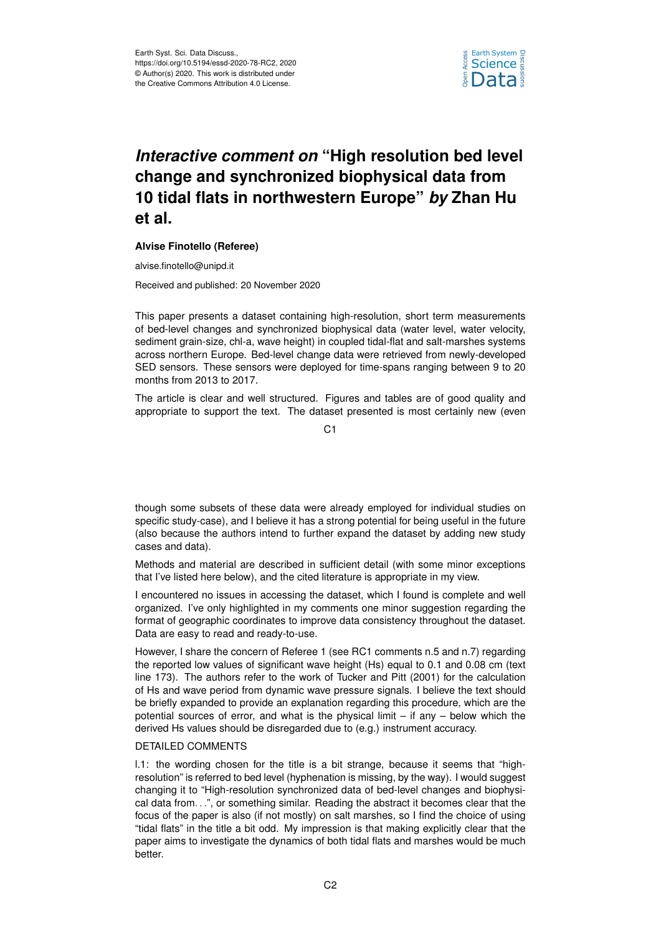

# *Interactive comment on* **"High resolution bed level change and synchronized biophysical data from 10 tidal flats in northwestern Europe"** *by* **Zhan Hu et al.**

## **Alvise Finotello (Referee)**

alvise.finotello@unipd.it

Received and published: 20 November 2020

This paper presents a dataset containing high-resolution, short term measurements of bed-level changes and synchronized biophysical data (water level, water velocity, sediment grain-size, chl-a, wave height) in coupled tidal-flat and salt-marshes systems across northern Europe. Bed-level change data were retrieved from newly-developed SED sensors. These sensors were deployed for time-spans ranging between 9 to 20 months from 2013 to 2017.

The article is clear and well structured. Figures and tables are of good quality and appropriate to support the text. The dataset presented is most certainly new (even

 $C<sub>1</sub>$ 

though some subsets of these data were already employed for individual studies on specific study-case), and I believe it has a strong potential for being useful in the future (also because the authors intend to further expand the dataset by adding new study cases and data).

Methods and material are described in sufficient detail (with some minor exceptions that I've listed here below), and the cited literature is appropriate in my view.

I encountered no issues in accessing the dataset, which I found is complete and well organized. I've only highlighted in my comments one minor suggestion regarding the format of geographic coordinates to improve data consistency throughout the dataset. Data are easy to read and ready-to-use.

However, I share the concern of Referee 1 (see RC1 comments n.5 and n.7) regarding the reported low values of significant wave height (Hs) equal to 0.1 and 0.08 cm (text line 173). The authors refer to the work of Tucker and Pitt (2001) for the calculation of Hs and wave period from dynamic wave pressure signals. I believe the text should be briefly expanded to provide an explanation regarding this procedure, which are the potential sources of error, and what is the physical limit  $-$  if any  $-$  below which the derived Hs values should be disregarded due to (e.g.) instrument accuracy.

## DETAILED COMMENTS

l.1: the wording chosen for the title is a bit strange, because it seems that "highresolution" is referred to bed level (hyphenation is missing, by the way). I would suggest changing it to "High-resolution synchronized data of bed-level changes and biophysical data from. . .", or something similar. Reading the abstract it becomes clear that the focus of the paper is also (if not mostly) on salt marshes, so I find the choice of using "tidal flats" in the title a bit odd. My impression is that making explicitly clear that the paper aims to investigate the dynamics of both tidal flats and marshes would be much better.